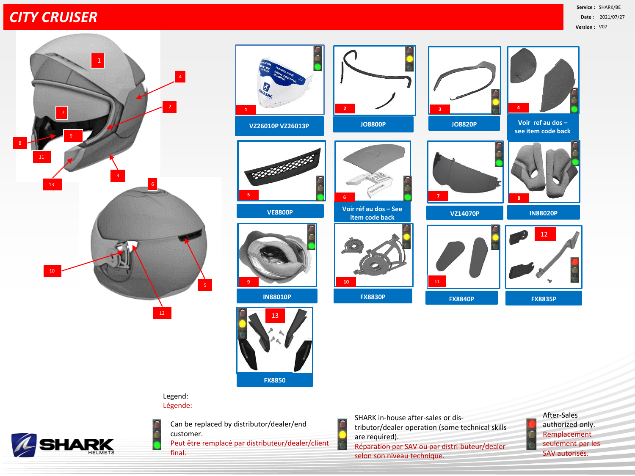## *CITY CRUISER*







Legend: Légende:



Can be replaced by distributor/dealer/end customer. Peut être remplacé par distributeur/dealer/client final.

SHARK in-house after-sales or distributor/dealer operation (some technical skills are required). Réparation par SAV ou par distri-buteur/dealer selon son niveau technique.

After-Sales authorized only. Remplacement seulement par les SAV autorisés.

Ċ